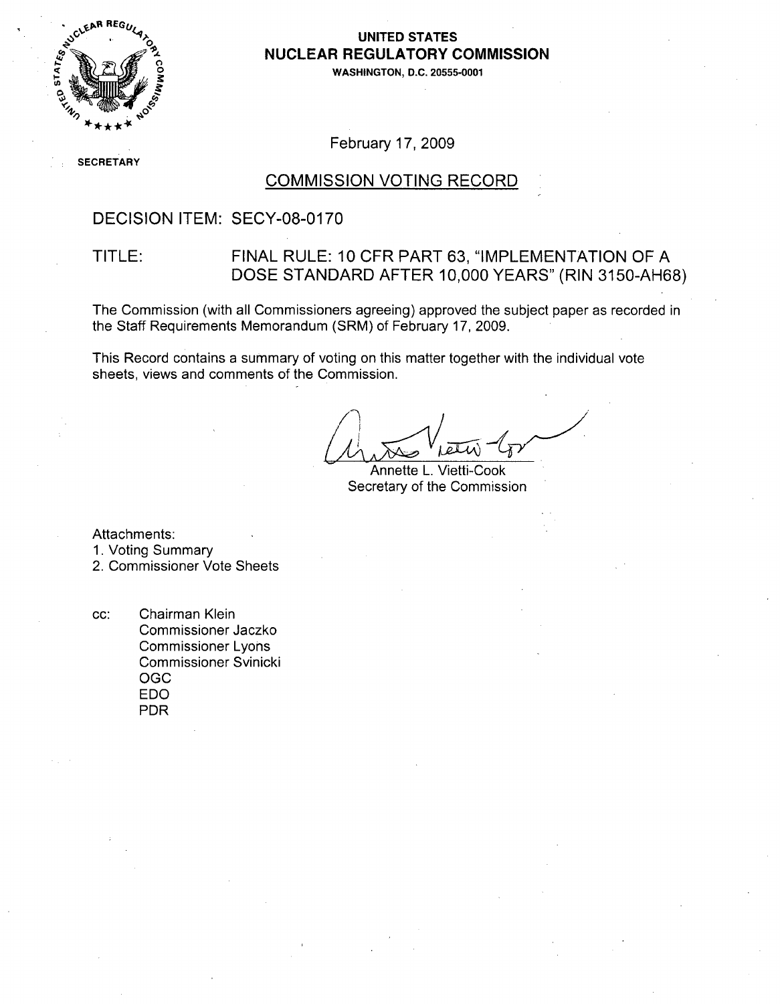

### **UNITED STATES** *<sup>A</sup>***NUCLEAR** REGULATORY **COMMISSION**

**0 WASHINGTON, D.C. 20555-0001**

### February 17, 2009

**SE** CRETARY

#### COMMISSION VOTING RECORD

### DECISION ITEM: SECY-08-0170

### TITLE: FINAL RULE: 10 CFR PART 63, "IMPLEMENTATION OF A DOSE STANDARD AFTER 10,000 YEARS" (RIN 3150-AH68)

The Commission (with all Commissioners agreeing) approved the subject paper as recorded in the Staff Requirements Memorandum (SRM) of February 17, 2009.

This Record contains a summary of voting on this matter together with the individual vote sheets, views and comments of the Commission.

Annette L. Vietti-Cook Secretary of the Commission

Attachments:

1. Voting Summary

2. Commissioner Vote Sheets

cc: Chairman Klein Commissioner Jaczko Commissioner Lyons Commissioner Svinicki **OGC EDO** PDR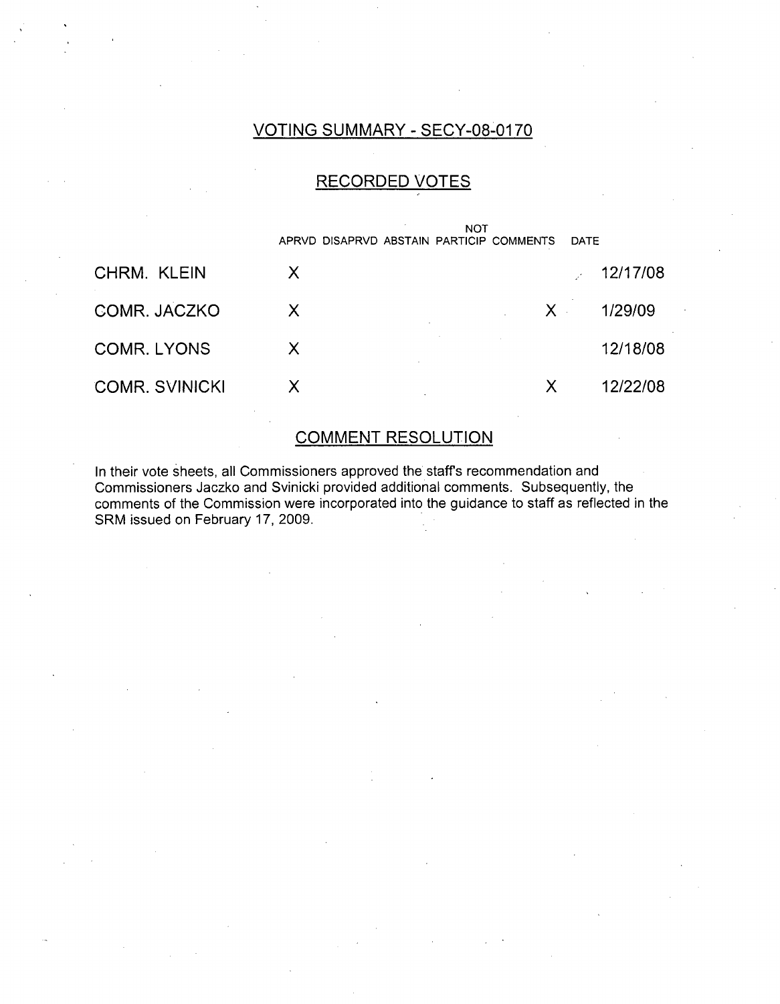## VOTING SUMMARY - SECY-08-0170

## RECORDED VOTES



### COMMENT RESOLUTION

In their vote sheets, all Commissioners approved the staffs recommendation and Commissioners Jaczko and Svinicki provided additional comments. Subsequently, the comments of the Commission were incorporated into the guidance to staff as reflected in the SRM issued on February 17, 2009.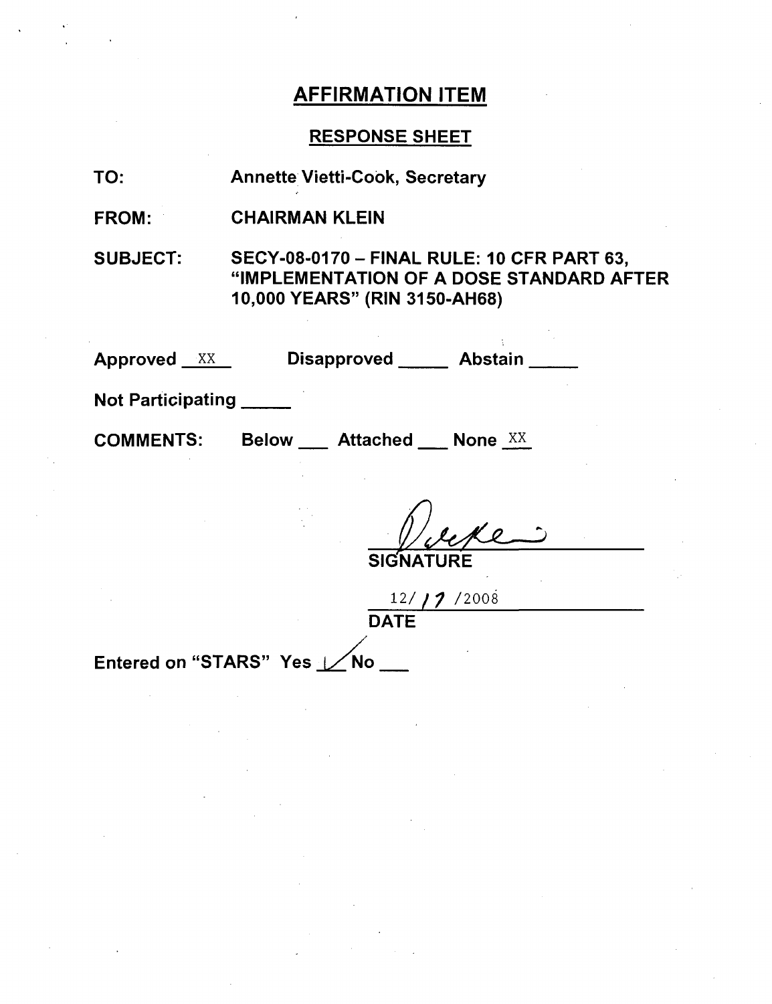## RESPONSE SHEET

| TO:                         | <b>Annette Vietti-Cook, Secretary</b>                                                                                   |  |
|-----------------------------|-------------------------------------------------------------------------------------------------------------------------|--|
| <b>FROM:</b>                | <b>CHAIRMAN KLEIN</b>                                                                                                   |  |
| <b>SUBJECT:</b>             | SECY-08-0170 - FINAL RULE: 10 CFR PART 63,<br>"IMPLEMENTATION OF A DOSE STANDARD AFTER<br>10,000 YEARS" (RIN 3150-AH68) |  |
| <b>Approved XX</b>          | Disapproved ______ Abstain __                                                                                           |  |
| <b>Not Participating</b>    |                                                                                                                         |  |
| <b>COMMENTS:</b>            | Below ___ Attached ___ None XX                                                                                          |  |
|                             | <b>SIGNAT</b><br>12/17/2008                                                                                             |  |
| <b>DATE</b>                 |                                                                                                                         |  |
| Entered on "STARS" Yes / No |                                                                                                                         |  |
|                             |                                                                                                                         |  |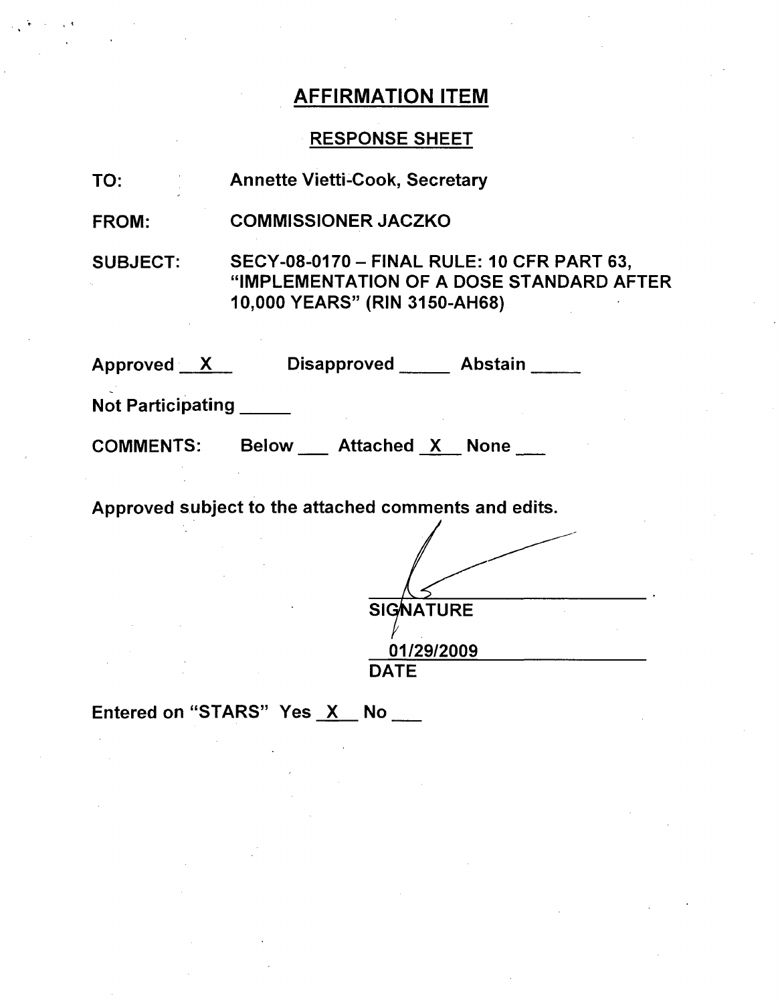## RESPONSE SHEET

| TO:                      | <b>Annette Vietti-Cook, Secretary</b>                                                                                           |  |
|--------------------------|---------------------------------------------------------------------------------------------------------------------------------|--|
| <b>FROM:</b>             | <b>COMMISSIONER JACZKO</b>                                                                                                      |  |
| <b>SUBJECT:</b>          | <b>SECY-08-0170 - FINAL RULE: 10 CFR PART 63,</b><br>"IMPLEMENTATION OF A DOSE STANDARD AFTER<br>10,000 YEARS" (RIN 3150-AH68). |  |
|                          | Approved X Disapproved Abstain                                                                                                  |  |
| <b>Not Participating</b> |                                                                                                                                 |  |
|                          | COMMENTS: Below Attached X None                                                                                                 |  |
|                          | Approved subject to the attached comments and edits.                                                                            |  |

| <b>SIGNATURE</b> |
|------------------|
|                  |
| 01/29/2009       |
| <b>DATE</b>      |

Entered on "STARS" Yes  $X$  No  $\_\_\_\_\$ 

" t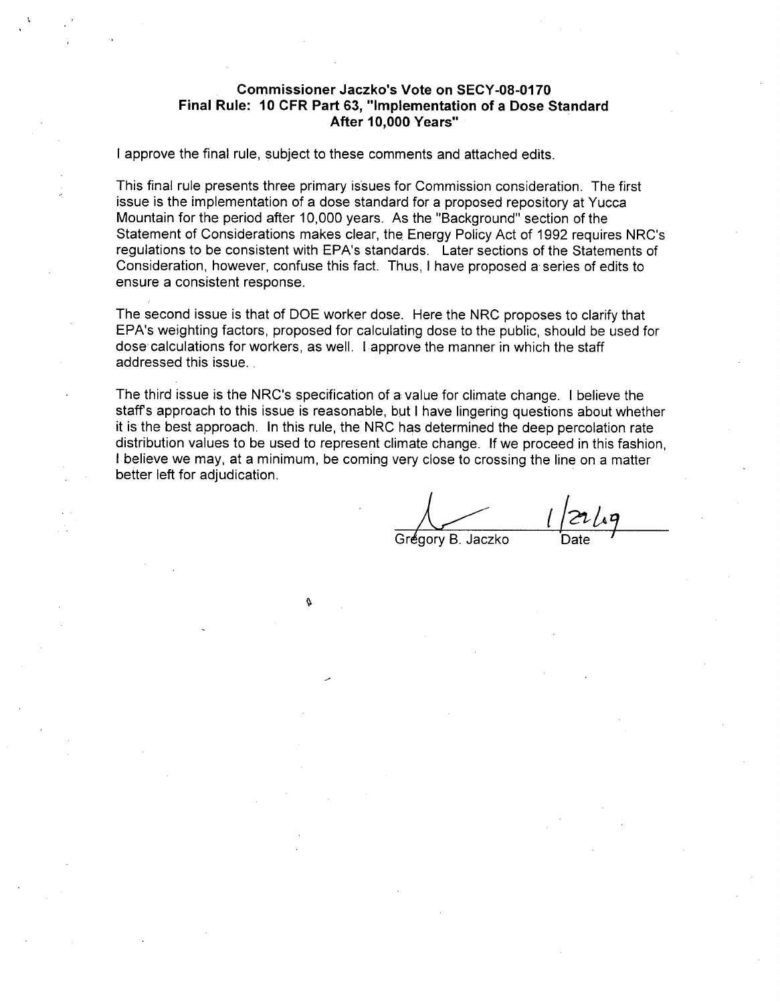#### Commissioner Jaczko's Vote on **SECY-08-0170** Final Rule: **10** CFR Part **63,** "Implementation of a Dose Standard After **10,000** Years"

I approve the final rule, subject to these comments and attached edits.

This final rule presents three primary issues for Commission consideration. The first issue is the implementation of a dose standard for a proposed repository at Yucca Mountain for the period after 10,000 years. As the "Background" section of the Statement of Considerations makes clear, the Energy Policy Act of 1992 requires NRC's regulations to be consistent with EPA's standards. Later sections of the Statements of Consideration, however, confuse this fact. Thus, I have proposed a series of edits to ensure a consistent response.

The second issue is that of DOE worker dose. Here the NRC proposes to clarify that EPA's weighting factors, proposed for calculating dose to the public, should be used for dose calculations for workers, as well. **I** approve the manner in which the staff addressed this issue.

The third issue is the NRC's specification of a: value for climate change. I believe the staffs approach to this issue is reasonable, but I have lingering questions about whether it is the best approach. In this rule, the NRC has determined the deep percolation rate distribution values to be used to represent climate change. If we proceed in this fashion, I believe we may, at a minimum, be coming very close to crossing the line on a matter better left for adjudication.

¢

Grégory B. Jaczko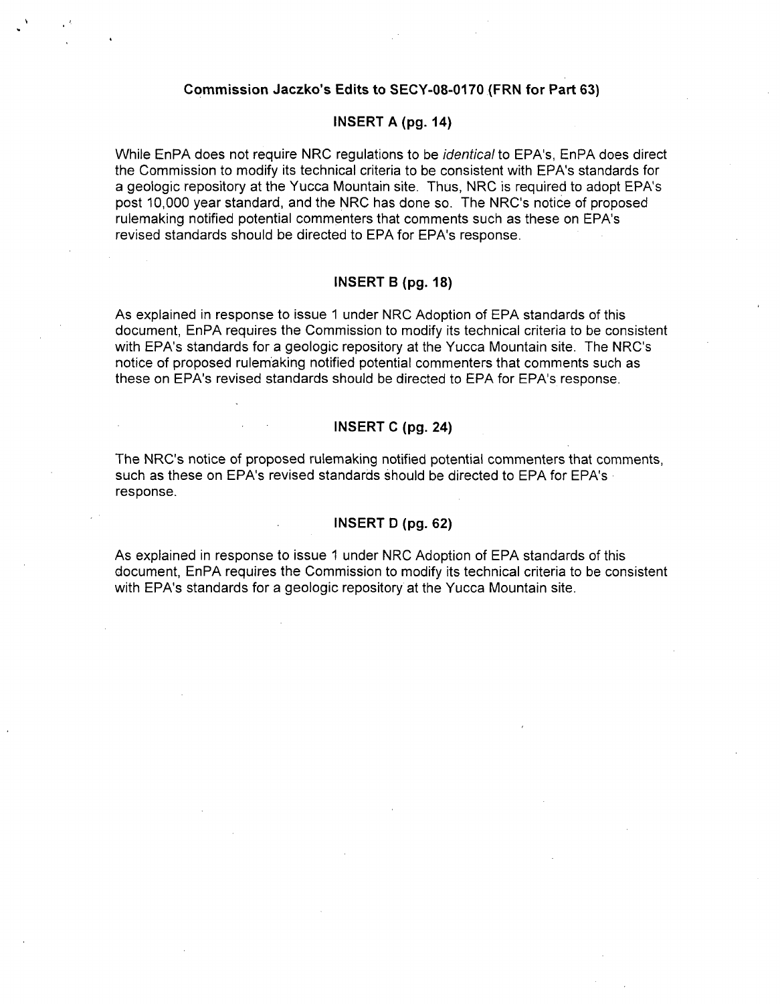#### Commission Jaczko's Edits to **SECY-08-0170** (FRN for Part **63)**

### **INSERT A (pg.** 14)

While EnPA does not require NRC regulations to be *identical* to EPA's, EnPA does direct the Commission to modify its technical criteria to be consistent with EPA's standards for a geologic repository at the Yucca Mountain site. Thus, NRC is required to adopt EPA's post 10,000 year standard, and the NRC has done so. The NRC's notice of proposed rulemaking notified potential commenters that comments such as these on EPA's revised standards should be directed to EPA for EPA's response.

#### INSERT B **(pg. 18)**

As explained in response to issue 1 under NRC Adoption of EPA standards of this document, EnPA requires the Commission to modify its technical criteria to be consistent with EPA's standards for a geologic repository at the Yucca Mountain site. The NRC's notice of proposed rulemaking notified potential commenters that comments such as these on EPA's revised standards should be directed to EPA for EPA's response.

#### INSERT C **(pg.** 24)

The NRC's notice of proposed rulemaking notified potential commenters that comments, such as these on EPA's revised standards should be directed to EPA for EPA's response.

#### **INSERT D** (pg. **62)**

As explained in response to issue 1 under NRC Adoption of EPA standards of this document, EnPA requires the Commission to modify its technical criteria to be consistent with EPA's standards for a geologic repository at the Yucca Mountain site.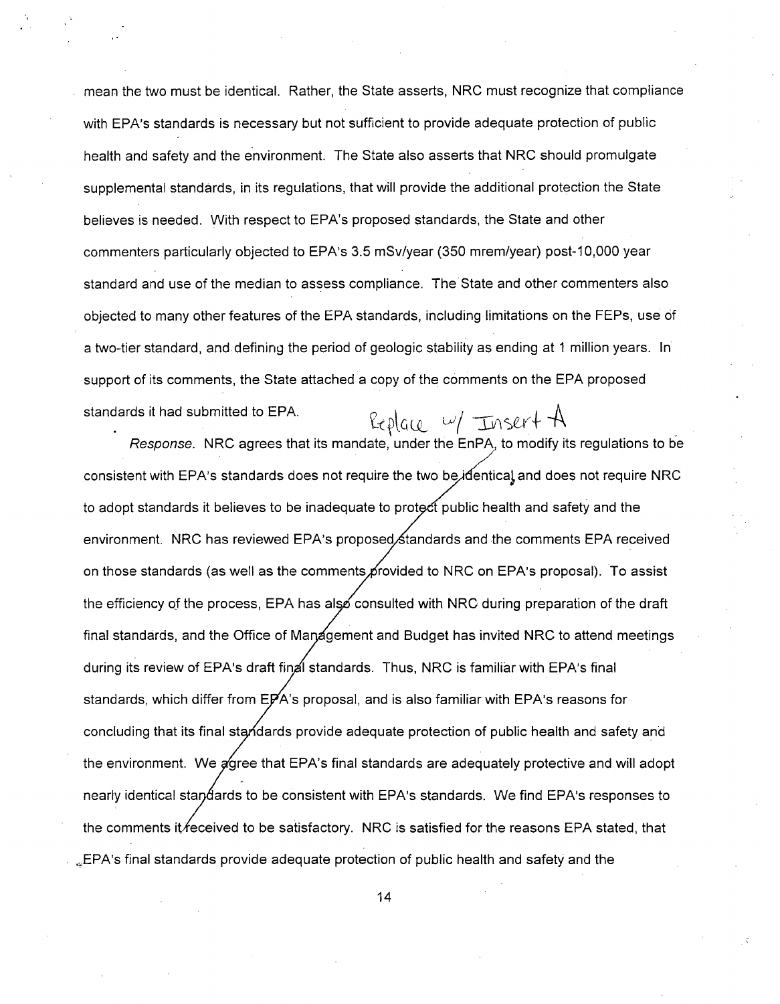mean the two must be identical. Rather, the State asserts, NRC must recognize that compliance with EPA's standards is necessary but not sufficient to provide adequate protection of public health and safety and the environment. The State also asserts that NRC should promulgate supplemental standards, in its regulations, that will provide the additional protection the State believes is needed. With respect to EPA's proposed standards, the State and other commenters particularly objected to EPA's 3.5 mSv/year (350 mrem/year) post-10,000 year standard and use of the median to assess compliance. The State and other commenters also objected to many other features of the EPA standards, including limitations on the FEPs, use of a two-tier standard, and defining the period of geologic stability as ending at 1 million years. In support of its comments, the State attached a copy of the comments on the EPA proposed standards it had submitted to EPA.  $R_{\ell} \rho|_{\alpha \leq \ell} \sim / \sqrt{2 \ln |\mathcal{M}|^2 + 4}$ 

*Response.* NRC agrees that its mandate, under the EnPA to modify its regulations to be consistent with EPA's standards does not require the two be, identical and does not require NRC to adopt standards it believes to be inadequate to protect public health and safety and the environment. NRC has reviewed EPA's proposed,∕standards and the comments EPA received ic on those standards (as well as the comments provided to NRC on EPA's proposal). To assist the efficiency of the process, EPA has also consulted with NRC during preparation of the draft final standards, and the Office of Management and Budget has invited NRC to attend meetings during its review of EPA's draft final standards. Thus, NRC is familiar with EPA's final standards, which differ from  $E\cancel{P}$ A's proposal, and is also familiar with  $EPA$ 's reasons for concluding that its final standards provide adequate protection of public health and safety and r the environment. We agree that EPA's final standards are adequately protective and will adopt nearly identical standards to be consistent with EPA's standards. We find EPA's responses to the comments it *feceived to be satisfactory.* NRC is satisfied for the reasons EPA stated, that LEPA's final standards provide adequate protection of public health and safety and the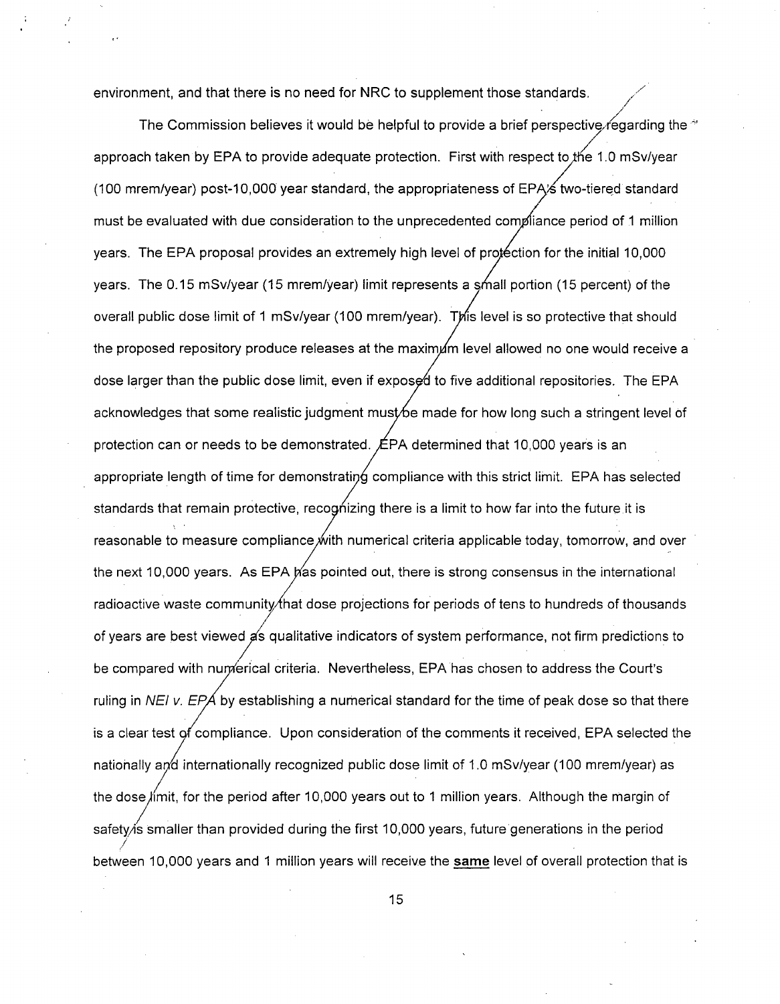environment, and that there is no need for NRC to supplement those standards.

The Commission believes it would be helpful to provide a brief perspective regarding the  $\sim$ approach taken by EPA to provide adequate protection. First with respect to the 1.0 mSv/year (100 mrem/year) post-10,000 year standard, the appropriateness of EPA $\angle$ s two-tiered standard must be evaluated with due consideration to the unprecedented compliance period of 1 million years. The EPA proposal provides an extremely high level of protection for the initial 10,000 years. The 0.15 mSv/year (15 mrem/year) limit represents a small portion (15 percent) of the overall public dose limit of 1 mSv/year (100 mrem/year). This level is so protective that should the proposed repository produce releases at the maximum level allowed no one would receive a dose larger than the public dose limit, even if exposed to five additional repositories. The EPA acknowledges that some realistic judgment must be made for how long such a stringent level of protection can or needs to be demonstrated.  $EPA$  determined that 10,000 years is an appropriate length of time for demonstrating compliance with this strict limit. EPA has selected standards that remain protective, recognizing there is a limit to how far into the future it is reasonable to measure compliance with numerical criteria applicable today, tomorrow, and over the next 10,000 years. As EPA pas pointed out, there is strong consensus in the international radioactive waste community that dose projections for periods of tens to hundreds of thousands of years are best viewed as qualitative indicators of system performance, not firm predictions to be compared with numerical criteria. Nevertheless, EPA has chosen to address the Court's ruling in *NEI v. EPA* by establishing a numerical standard for the time of peak dose so that there is a clear test of compliance. Upon consideration of the comments it received, EPA selected the nationally and internationally recognized public dose limit of 1.0 mSv/year (100 mrem/year) as the dose /imit, for the period after **10,000** years out to **1** million years. Although the margin of safety is smaller than provided during the first 10,000 years, future generations in the period between **10,000** years and **1** million years will receive the **same** level of overall protection that is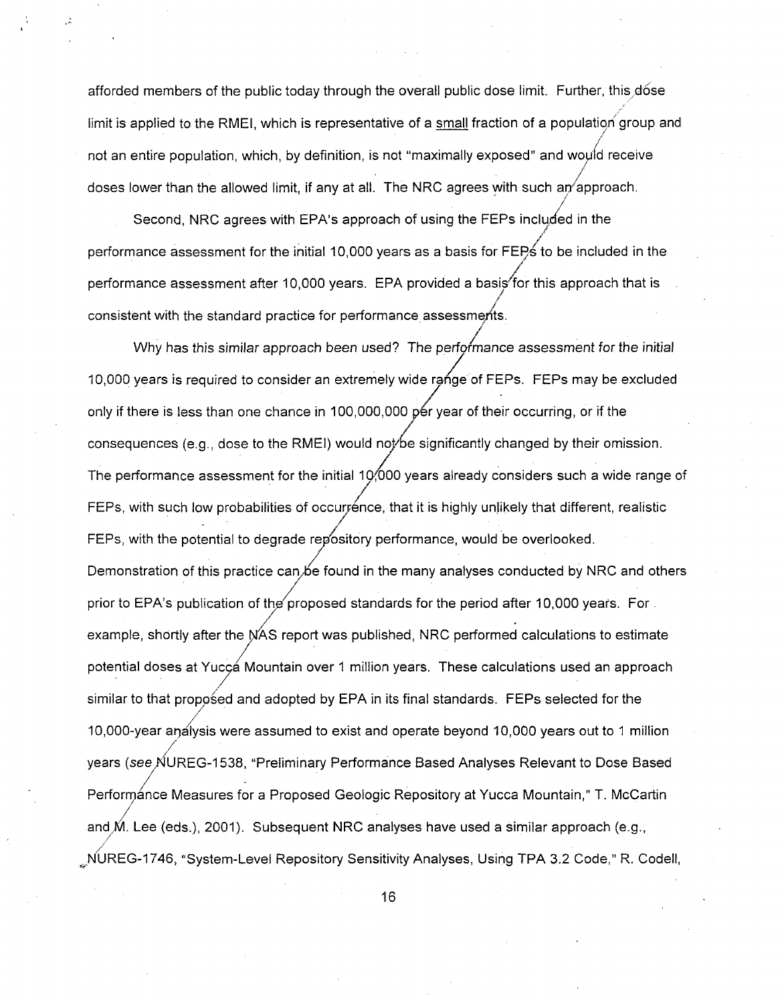afforded members of the public today through the overall public dose limit. Further, this dose limit is applied to the RMEI, which is representative of a small fraction of a population' group and not an entire population, which, by definition, is not "maximally exposed" and would receive */* doses lower than the allowed limit, if any at all. The NRC agrees with such an/approach. /

Second, NRC agrees with EPA's approach of using the FEPs included in the performance assessment for the initial 10,000 years as a basis for FEPs to be included in the performance assessment after 10,000 years. EPA provided a basis for this approach that is consistent with the standard practice for performance assessments.

Why has this similar approach been used? The performance assessment for the initial 10,000 years is required to consider an extremely wide range of FEPs. FEPs may be excluded only if there is less than one chance in 100,000,000 per year of their occurring, or if the consequences (e.g., dose to the RMEI) would not be significantly changed by their omission. The performance assessment for the initial 10,000 years already considers such a wide range of FEPs, with such low probabilities of occurrence, that it is highly unlikely that different, realistic FEPs, with the potential to degrade repository performance, would be overlooked. Demonstration of this practice can be found in the many analyses conducted by NRC and others prior to EPA's publication of the proposed standards for the period after 10,000 years. For. example, shortly after the **AS** report was published, NRC performed calculations to estimate potential doses at Yucca Mountain over 1 million years. These calculations used an approach similar to that proposed and adopted by EPA in its final standards. FEPs selected for the // 10,000-year análysis were assumed to exist and operate beyond 10,000 years out to 1 millior / years (see NUREG-1538, "Preliminary Performance Based Analyses Relevant to Dose Based Performánce Measures for a Proposed Geologic Repository at Yucca Mountain," T. McCartin and  $M.$  Lee (eds.), 2001). Subsequent NRC analyses have used a similar approach (e.g., •NUREG-1746, "System-Level Repository Sensitivity Analyses, Using TPA 3.2 Code," R. Codell,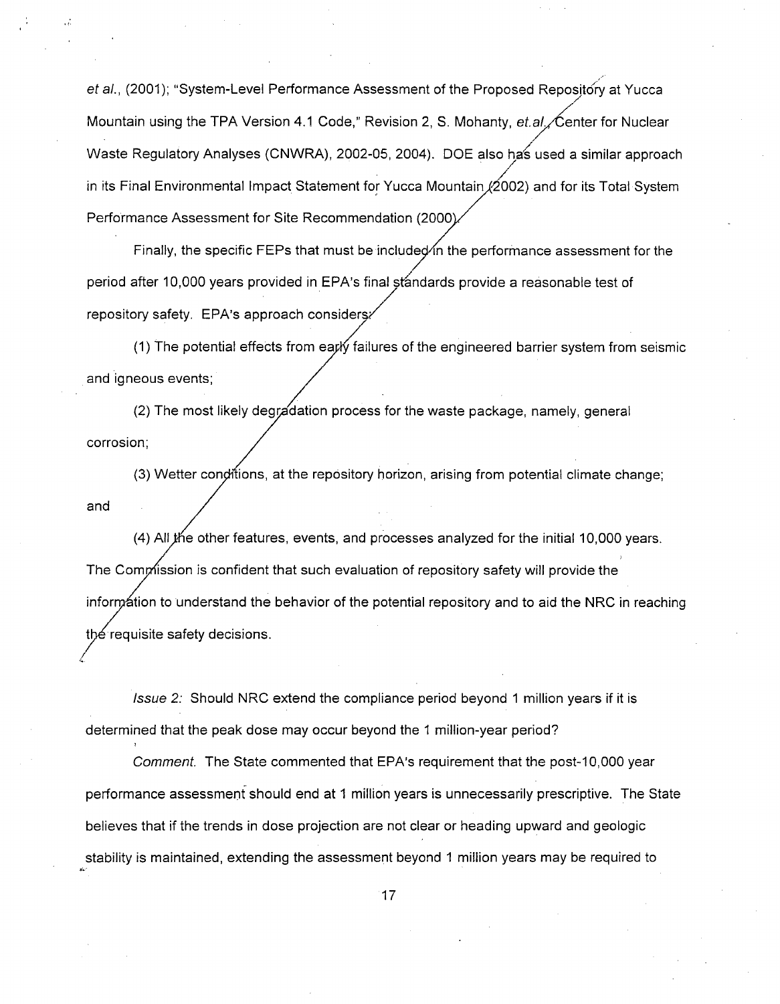et al., (2001); "System-Level Performance Assessment of the Proposed Repository at Yucca Mountain using the TPA Version 4.1 Code," Revision 2, S. Mohanty, et.al. $\angle$ Center for Nuclear Waste Regulatory Analyses (CNWRA), 2002-05, 2004). DOE also has used a similar approach in its Final Environmental Impact Statement for Yucca Mountain  $/2002$ ) and for its Total System Performance Assessment for Site Recommendation (2000

Finally, the specific FEPs that must be included in the performance assessment for the period after 10,000 years provided in EPA's final standards provide a reasonable test of repository safety. EPA's approach consider

(1) The potential effects from early failures of the engineered barrier system from seismic and igneous events;

(2) The most likely degradation process for the waste package, namely, general corrosion;

 $(3)$  Wetter conditions, at the repository horizon, arising from potential climate change; and

(4) All *i*the other features, events, and processes analyzed for the initial 10,000 years. The Commission is confident that such evaluation of repository safety will provide the inform ation to understand the behavior of the potential repository and to aid the NRC in reaching the requisite safety decisions.

*Issue 2:* Should NRC extend the compliance period beyond **1** million years if it is determined that the peak dose may occur beyond the 1 million-year period?

*Comment.* The State commented that EPA's requirement that the post-10,000 year performance assessment should end at 1 million years is unnecessarily prescriptive. The State believes that if the trends in dose projection are not clear or heading upward and geologic stability is maintained, extending the assessment beyond 1 million years may be required to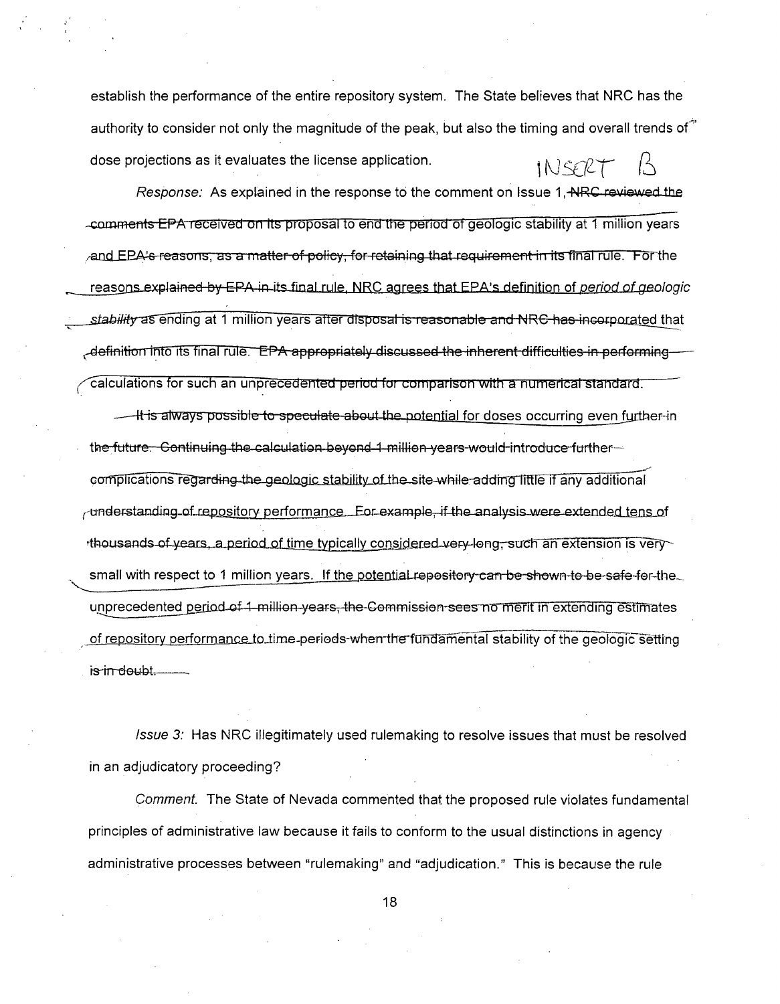establish the performance of the entire repository system. The State believes that NRC has the authority to consider not only the magnitude of the peak, but also the timing and overall trends of \* dose projections as it evaluates the license application.  $INGZT$ 

Response: As explained in the response to the comment on Issue 1, NRC reviewed the comments EPA received on its proposal to end the period of geologic stability at 1 million years and EPA's reasons, as a matter of policy, for retaining that requirement in its final rule. For the reasons explained by EPA in its final rule. NRC agrees that EPA's definition of period of geologic stability as ending at 1 million years after disposal is reasonable and NRC has incorporated that -definition into its final rule. EPA appropriately discussed the inherent difficulties in performing calculations for such an unprecedented period for comparison with a numerical standard.

It is always possible to speculate about the potential for doses occurring even further-in the future. Continuing the calculation beyond 1 million years would introduce furthercomplications regarding the geologic stability of the site while adding little if any additional understanding of repository performance. For example, if the analysis were extended tens of thousands of years, a period of time typically considered very-long, such an extension is very small with respect to 1 million years. If the potentiaLrepository can be shown to be safe for the unprecedented period of 1-million-years, the Commission-sees no merit in extending estimates of repository performance to time-periods-when the fundamental stability of the geologic setting is in doubt.

Issue 3: Has NRC illegitimately used rulemaking to resolve issues that must be resolved in an adjudicatory proceeding?

Comment. The State of Nevada commented that the proposed rule violates fundamental principles of administrative law because it fails to conform to the usual distinctions in agency. administrative processes between "rulemaking" and "adjudication." This is because the rule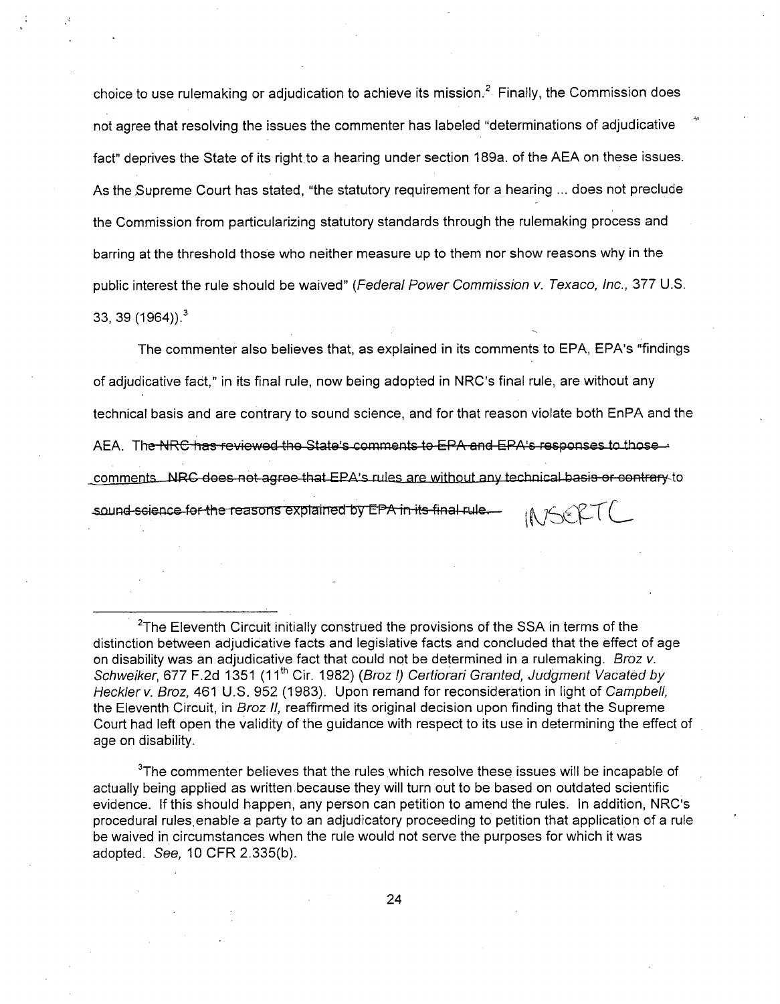choice to use rulemaking or adjudication to achieve its mission.<sup>2</sup> Finally, the Commission does not agree that resolving the issues the commenter has labeled "determinations of adjudicative fact" deprives the State of its right to a hearing under section 189a. of the AEA on these issues. As the.Supreme Court has stated, "the statutory requirement for a hearing ... does not preclude the Commission from particularizing statutory standards through the rulemaking process and barring at the threshold those who neither measure up to them nor show reasons why in the public interest the rule should be waived" *(Federal Power Commission v. Texaco, Inc.,* 377 U.S. 33, 39  $(1964)$ .<sup>3</sup>

The commenter also believes that, as explained in its comments to EPA, EPA's "findings of adjudicative fact," in its final rule, now being adopted in NRC's final rule, are without any technical basis and are contrary to sound science, and for that reason violate both EnPA and the AEA. The NRC has reviewed the State's comments to EPA and EPA's responses to those comments. NRC does not agree that EPA's rules are without any technical basis or contrary to sound-science for the reasons explained by EPA in its final rule.  $INFAET($ 

 $3$ The commenter believes that the rules which resolve these issues will be incapable of actually being applied as written because they will turn out to be based on outdated scientific evidence. If this should happen, any person can petition to amend the rules. In addition, NRC's procedural rules enable a party to an adjudicatory proceeding to petition that application of a rule be waived in circumstances when the rule would not serve the purposes for which it was adopted. See, 10 CFR 2.335(b).

 $2$ The Eleventh Circuit initially construed the provisions of the SSA in terms of the distinction between adjudicative facts and legislative facts and concluded that the effect of age on disability was an adjudicative fact that could not be determined in a rulemaking. *Broz v. Schweiker,* 677 F.2d 1351 (1 **<sup>1</sup> th** Cir. 1.982) *(Broz I) Certiorari Granted, Judgment Vacated by Heckler v. Broz,* 461 U.S. 952 (1983). Upon remand for reconsideration in light of *Campbell,* the Eleventh Circuit, in *Broz II,* reaffirmed its original decision upon finding that the Supreme Court had left open the validity of the guidance with respect to its use in determining the effect of age on disability.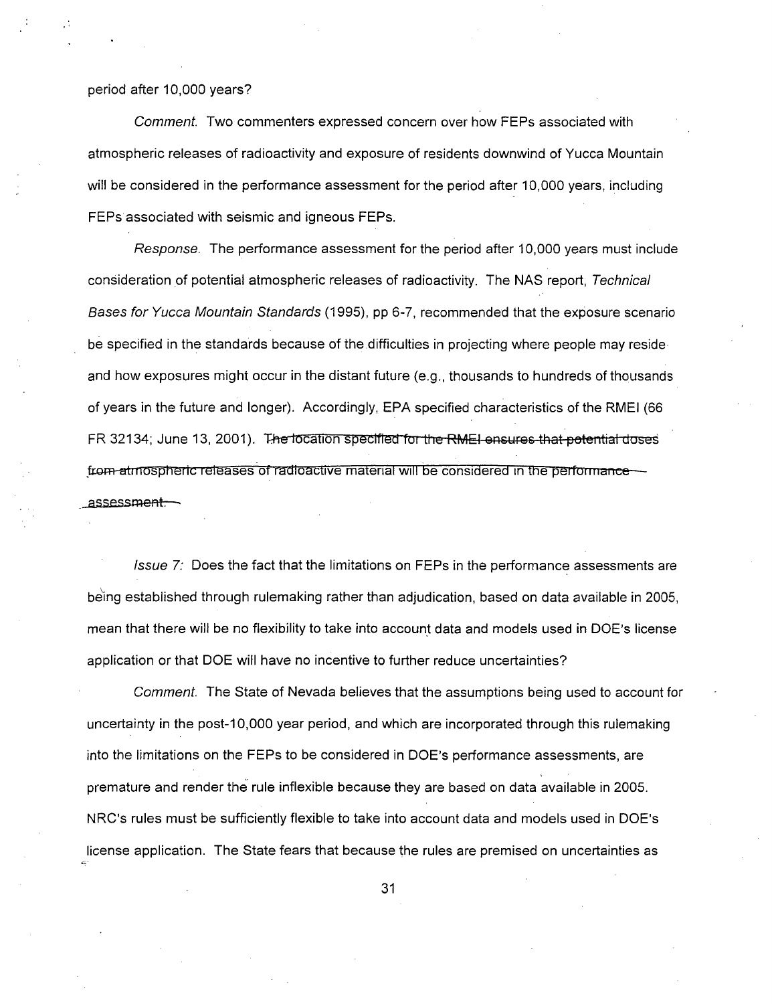#### period after 10,000 years?

*Comment.* Two commenters expressed concern over how FEPs associated with atmospheric releases of radioactivity and exposure of residents downwind of Yucca Mountain will be considered in the performance assessment for the period after 10,000 years, including FEPs associated with seismic and igneous FEPs.

*Response.* The performance assessment for the period after 10,000 years must include consideration of potential atmospheric releases of radioactivity. The NAS report, *Technical Bases for Yucca Mountain Standards* (1995), pp 6-7, recommended that the exposure scenario be specified in the standards because of the difficulties in projecting where people may resideand how exposures might occur in the distant future (e.g., thousands to hundreds of thousands of years in the future and longer). Accordingly, EPA specified characteristics of the RMEI (66 FR 32134; June 13, 2001). The location specified for the RMEI ensures that potential doses from atmospheric releases of radioactive material will be considered in the performanceassessm<del>ent.</del>

*Issue* 7: Does the fact that the limitations on FEPs in the performance assessments are being established through rulemaking rather than adjudication, based on data available in 2005, mean that there will be no flexibility to take into account data and models used in DOE's license application or that DOE will have no incentive to further reduce uncertainties?

*Comment.* The State of Nevada believes that the assumptions being used to account for uncertainty in the post-1 0,000 year period, and which are incorporated through this rulemaking into the limitations on the FEPs to be considered in DOE's performance assessments, are premature and render the rule inflexible because they are based on data available in 2005. NRC's rules must be sufficiently flexible to take into account data and models used in DOE's license application. The State fears that because the rules are premised on uncertainties as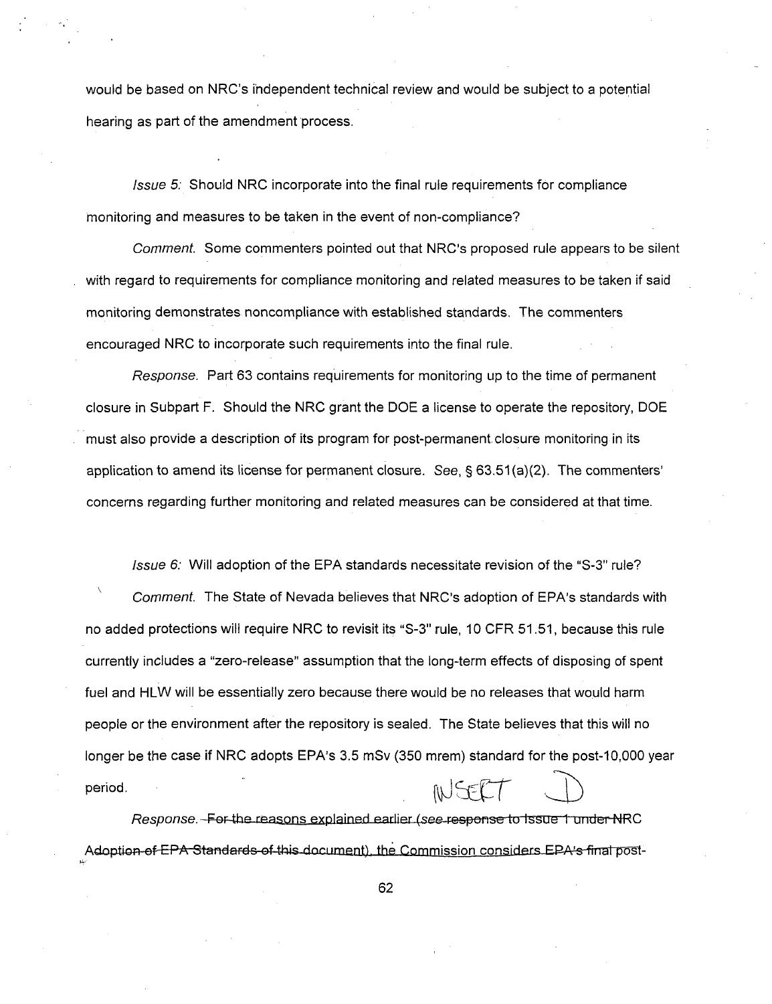would be based on NRC's independent technical review and would be subject to a potential hearing as part of the amendment process.

Issue 5: Should NRC incorporate into the final rule requirements for compliance monitoring and measures to be taken in the event of non-compliance?

Comment. Some commenters pointed out that NRC's proposed rule appears to be silent with regard to requirements for compliance monitoring and related measures to be taken if said monitoring demonstrates noncompliance with established standards. The commenters encouraged NRC to incorporate such requirements into the final rule.

Response. Part 63 contains requirements for monitoring up to the time of permanent closure in Subpart F. Should the NRC grant the DOE a license to operate the repository, DOE must also provide a description of its program for post-permanent closure monitoring in its application to amend its license for permanent closure. See,  $\S 63.51(a)(2)$ . The commenters' concerns regarding further monitoring and related measures can be considered at that time.

Comment. The State of Nevada believes that NRC's adoption of EPA's standards with no added protections will require NRC to revisit its "S-3" rule, 10 CFR 51.51, because this rule currently includes a "zero-release" assumption that the long-term effects of disposing of spent fuel and HLW will be essentially zero because there would be no releases that would harm people or the environment after the repository is sealed. The State believes that this will no longer be the case if NRC adopts EPA's 3.5 mSv (350 mrem) standard for the post-10,000 year period.

Issue 6: Will adoption of the EPA standards necessitate revision of the "S-3" rule?

Response. For the reasons explained earlier (see response to Issue 1 under NRC Adoption of EPA Standards of this document), the Commission considers EPA's final post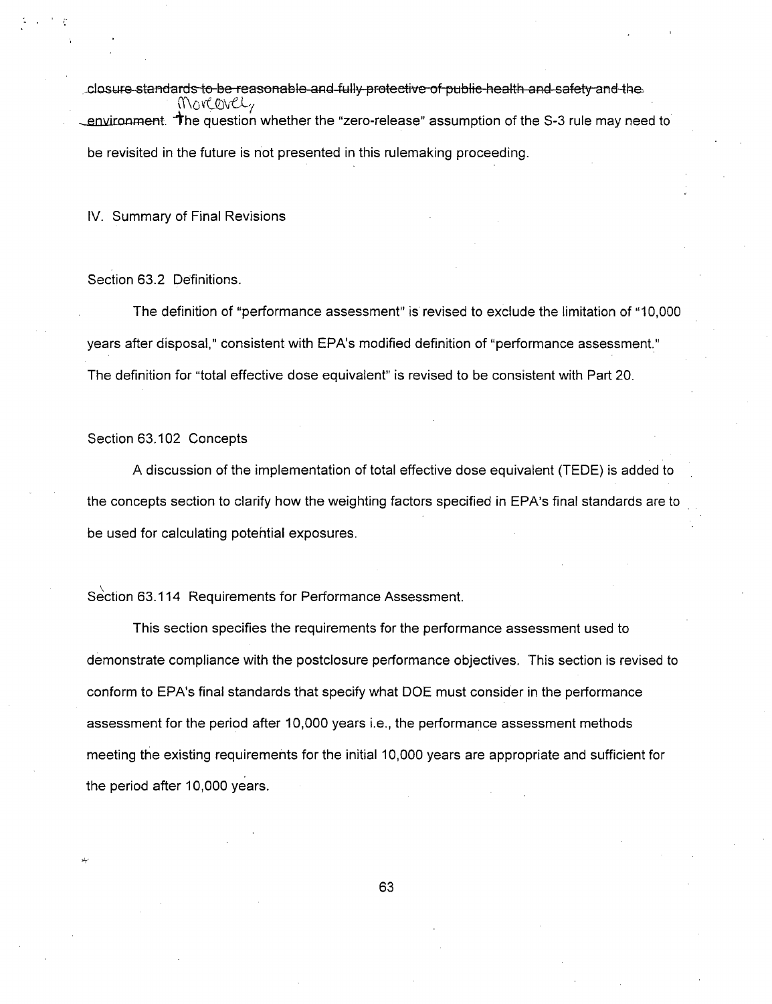closure standards to be reasonable and fully protective of public health and safety and the Morcevely environment. The question whether the "zero-release" assumption of the S-3 rule may need to be revisited in the future is not presented in this rulemaking proceeding.

IV. Summary of Final Revisions

Section 63.2 Definitions.

The definition of "performance assessment" is revised to exclude the limitation of "10,000 years after disposal," consistent with EPA's modified definition of "performance assessment." The definition for "total effective dose equivalent" is revised to be consistent with Part 20.

Section 63.102 Concepts

A discussion of the implementation of total effective dose equivalent (TEDE) is added to the concepts section to clarify how the weighting factors specified in EPA's final standards are to be used for calculating potential exposures.

Section 63.114 Requirements for Performance Assessment.

This section specifies the requirements for the performance assessment used to demonstrate compliance with the postclosure performance objectives. This section is revised to conform to EPA's final standards that specify what DOE must consider in the performance assessment for the period after 10,000 years i.e., the performance assessment methods meeting the existing requirements for the initial 10,000 years are appropriate and sufficient for the period after 10,000 years.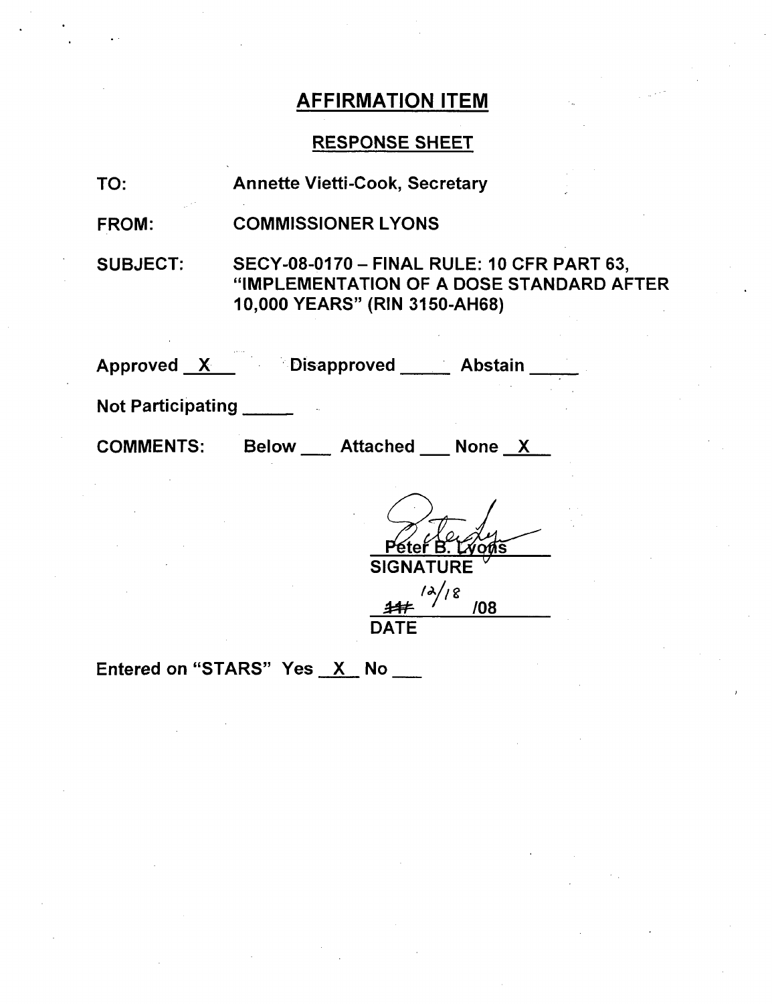## RESPONSE SHEET

| TO:                                | <b>Annette Vietti-Cook, Secretary</b>                                                                                          |
|------------------------------------|--------------------------------------------------------------------------------------------------------------------------------|
| <b>FROM:</b>                       | <b>COMMISSIONER LYONS</b>                                                                                                      |
| <b>SUBJECT:</b>                    | <b>SECY-08-0170 - FINAL RULE: 10 CFR PART 63,</b><br>"IMPLEMENTATION OF A DOSE STANDARD AFTER<br>10,000 YEARS" (RIN 3150-AH68) |
|                                    | Approved X Disapproved Abstain                                                                                                 |
| <b>Not Participating Notifiant</b> |                                                                                                                                |
| <b>COMMENTS:</b>                   | Below __ Attached __ None X                                                                                                    |
|                                    | Péteř B.<br><b>SIGNATURE</b><br>$\frac{\lambda}{8}$<br>/08                                                                     |

**DATE** 

Entered on "STARS" Yes  $X$  No  $\frac{1}{1}$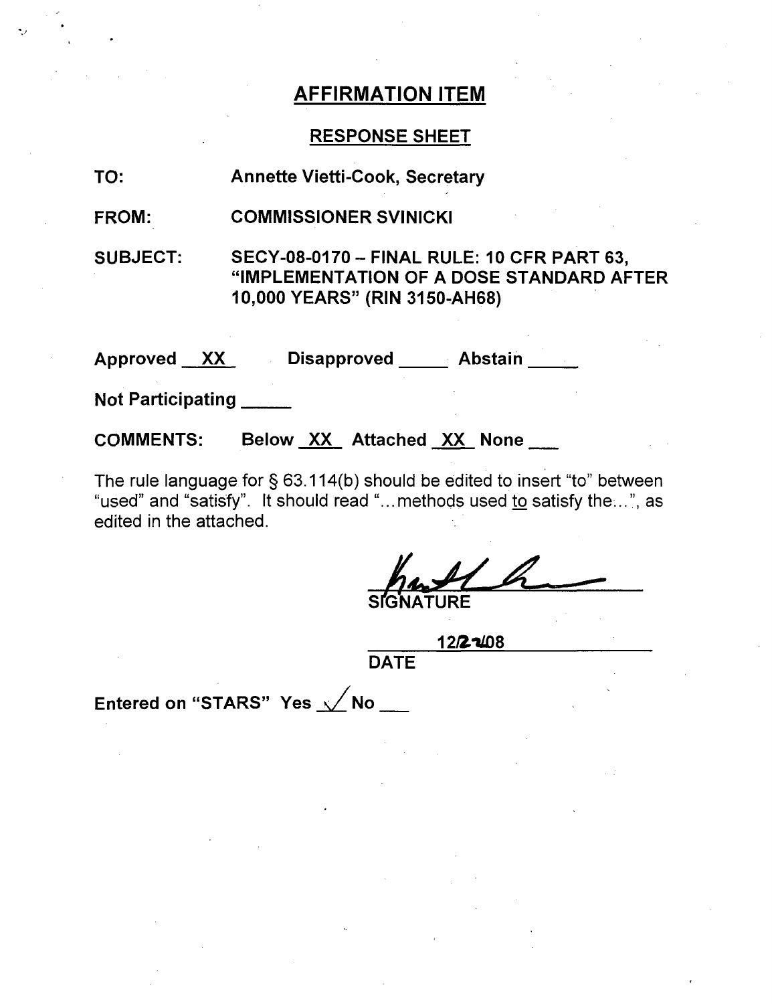## RESPONSE SHEET

| TO:                      | <b>Annette Vietti-Cook, Secretary</b>                                                                                          |  |
|--------------------------|--------------------------------------------------------------------------------------------------------------------------------|--|
| FROM:                    | <b>COMMISSIONER SVINICKI</b>                                                                                                   |  |
| <b>SUBJECT:</b>          | <b>SECY-08-0170 - FINAL RULE: 10 CFR PART 63,</b><br>"IMPLEMENTATION OF A DOSE STANDARD AFTER<br>10,000 YEARS" (RIN 3150-AH68) |  |
| Approved XX              | Disapproved Abstain                                                                                                            |  |
| <b>Not Participating</b> |                                                                                                                                |  |
| <b>COMMENTS:</b>         | Below XX Attached XX None                                                                                                      |  |

The rule language for § 63.114(b) should be edited to insert "to" between "used" and "satisfy". It should read "...methods used to satisfy the...", as edited in the attached.

**RE** 

12/2~108

DATE

Entered on "STARS" Yes  $\sqrt{}$  No  $\sqrt{}$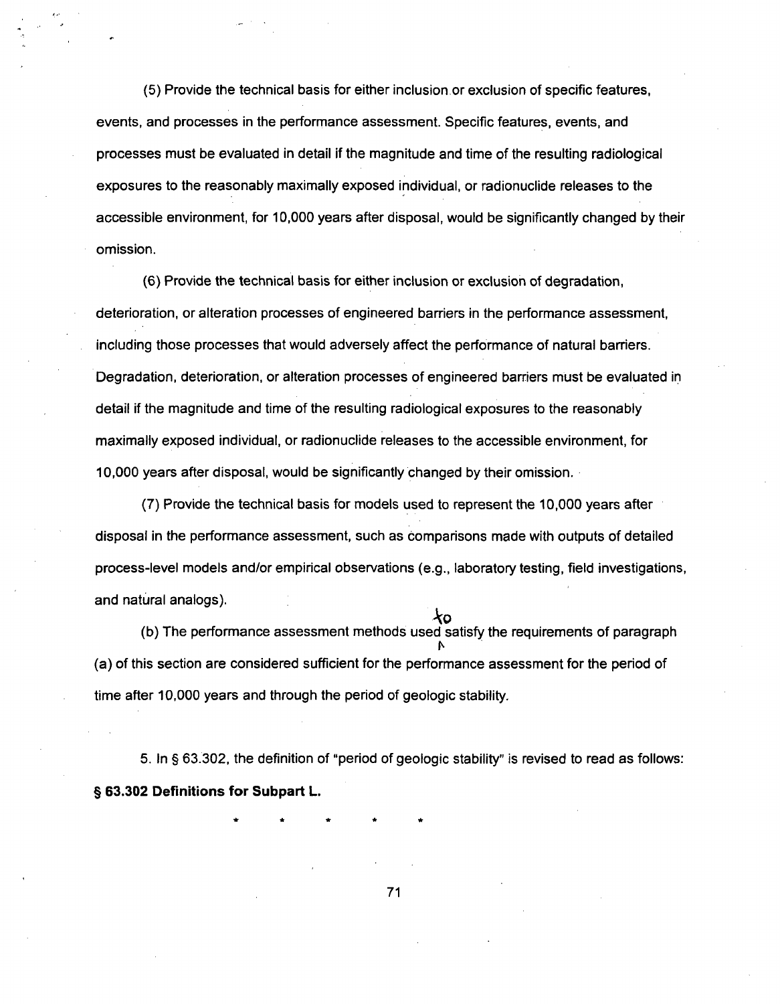(5) Provide the technical basis for either inclusion .or exclusion of specific features, events, and processes in the performance assessment. Specific features, events, and processes must be evaluated in detail if the magnitude and time of the resulting radiological exposures to the reasonably maximally exposed individual, or radionuclide releases to the accessible environment, for 10,000 years after disposal, would be significantly changed by their omission.

(6) Provide the technical basis for either inclusion or exclusion of degradation, deterioration, or alteration processes of engineered barriers in the performance assessment, including those processes that would adversely affect the performance of natural barriers. Degradation, deterioration, or alteration processes of engineered barriers must be evaluated in detail if the magnitude and time of the resulting radiological exposures to the reasonably maximally exposed individual, or radionuclide releases to the accessible environment, for 10,000 years after disposal, would be significantly changed by their omission.

(7) Provide the technical basis for models used to represent the 10,000 years after disposal in the performance assessment, such as comparisons made with outputs of detailed process-level models and/or empirical observations (e.g., laboratory testing, field investigations, and natural analogs).

ł٥ (b) The performance assessment methods used satisfy the requirements of paragraph (a) of this section are considered sufficient for the performance assessment for the period of time after 10,000 years and through the period of geologic stability.

5. In § 63.302, the definition of "period of geologic stability" is revised to read as follows: § **63.302** Definitions for Subpart L.